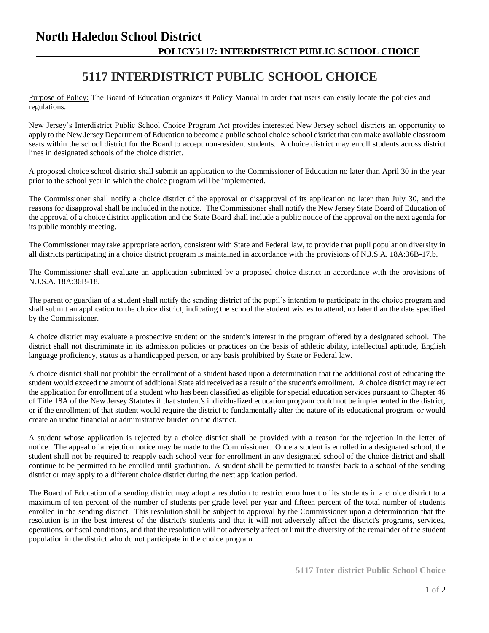## **North Haledon School District POLICY5117: INTERDISTRICT PUBLIC SCHOOL CHOICE**

## **5117 INTERDISTRICT PUBLIC SCHOOL CHOICE**

Purpose of Policy: The Board of Education organizes it Policy Manual in order that users can easily locate the policies and regulations.

New Jersey's Interdistrict Public School Choice Program Act provides interested New Jersey school districts an opportunity to apply to the New Jersey Department of Education to become a public school choice school district that can make available classroom seats within the school district for the Board to accept non-resident students. A choice district may enroll students across district lines in designated schools of the choice district.

A proposed choice school district shall submit an application to the Commissioner of Education no later than April 30 in the year prior to the school year in which the choice program will be implemented.

The Commissioner shall notify a choice district of the approval or disapproval of its application no later than July 30, and the reasons for disapproval shall be included in the notice. The Commissioner shall notify the New Jersey State Board of Education of the approval of a choice district application and the State Board shall include a public notice of the approval on the next agenda for its public monthly meeting.

The Commissioner may take appropriate action, consistent with State and Federal law, to provide that pupil population diversity in all districts participating in a choice district program is maintained in accordance with the provisions of N.J.S.A. 18A:36B-17.b.

The Commissioner shall evaluate an application submitted by a proposed choice district in accordance with the provisions of N.J.S.A. 18A:36B-18.

The parent or guardian of a student shall notify the sending district of the pupil's intention to participate in the choice program and shall submit an application to the choice district, indicating the school the student wishes to attend, no later than the date specified by the Commissioner.

A choice district may evaluate a prospective student on the student's interest in the program offered by a designated school. The district shall not discriminate in its admission policies or practices on the basis of athletic ability, intellectual aptitude, English language proficiency, status as a handicapped person, or any basis prohibited by State or Federal law.

A choice district shall not prohibit the enrollment of a student based upon a determination that the additional cost of educating the student would exceed the amount of additional State aid received as a result of the student's enrollment. A choice district may reject the application for enrollment of a student who has been classified as eligible for special education services pursuant to Chapter 46 of Title 18A of the New Jersey Statutes if that student's individualized education program could not be implemented in the district, or if the enrollment of that student would require the district to fundamentally alter the nature of its educational program, or would create an undue financial or administrative burden on the district.

A student whose application is rejected by a choice district shall be provided with a reason for the rejection in the letter of notice. The appeal of a rejection notice may be made to the Commissioner. Once a student is enrolled in a designated school, the student shall not be required to reapply each school year for enrollment in any designated school of the choice district and shall continue to be permitted to be enrolled until graduation. A student shall be permitted to transfer back to a school of the sending district or may apply to a different choice district during the next application period.

The Board of Education of a sending district may adopt a resolution to restrict enrollment of its students in a choice district to a maximum of ten percent of the number of students per grade level per year and fifteen percent of the total number of students enrolled in the sending district. This resolution shall be subject to approval by the Commissioner upon a determination that the resolution is in the best interest of the district's students and that it will not adversely affect the district's programs, services, operations, or fiscal conditions, and that the resolution will not adversely affect or limit the diversity of the remainder of the student population in the district who do not participate in the choice program.